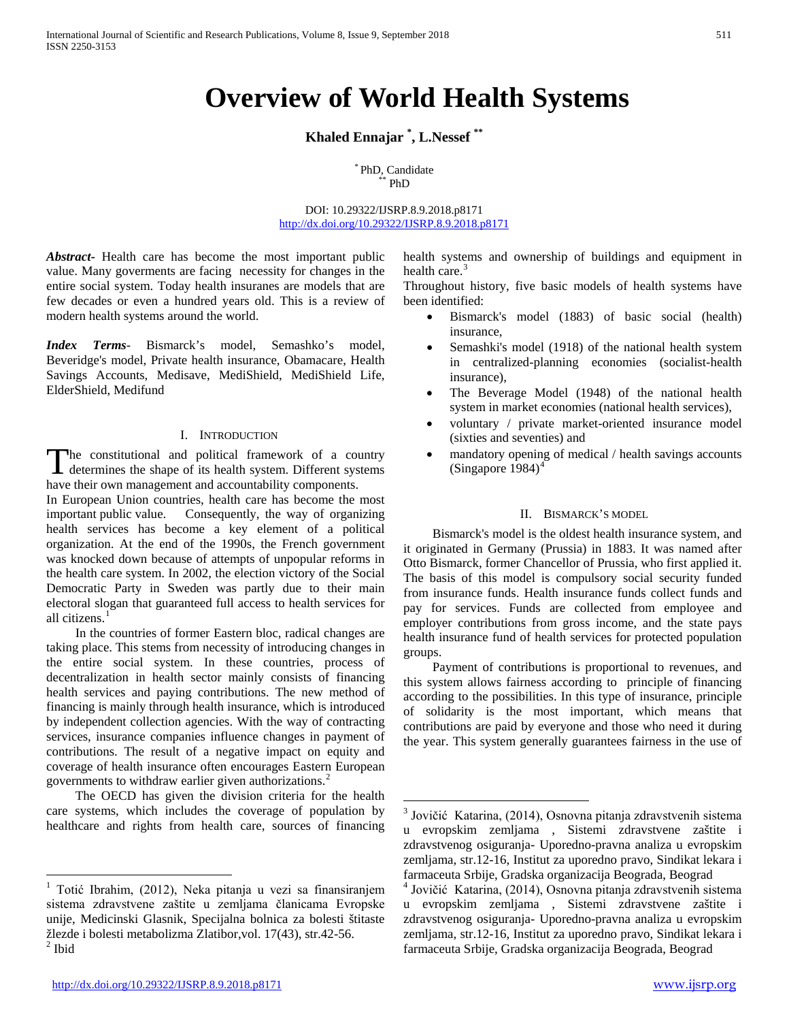# **Overview of World Health Systems**

**Khaled Ennajar \* , L.Nessef \*\***

\* PhD, Candidate<br>\*\* PhD

DOI: 10.29322/IJSRP.8.9.2018.p8171 <http://dx.doi.org/10.29322/IJSRP.8.9.2018.p8171>

*Abstract***-** Health care has become the most important public value. Many goverments are facing necessity for changes in the entire social system. Today health insuranes are models that are few decades or even a hundred years old. This is a review of modern health systems around the world.

*Index Terms*- Bismarck's model, Semashko's model, Beveridge's model, Private health insurance, Obamacare, Health Savings Accounts, Medisave, MediShield, MediShield Life, ElderShield, Medifund

#### I. INTRODUCTION

The constitutional and political framework of a country The constitutional and political framework of a country<br>determines the shape of its health system. Different systems have their own management and accountability components.

In European Union countries, health care has become the most important public value. Consequently, the way of organizing health services has become a key element of a political organization. At the end of the 1990s, the French government was knocked down because of attempts of unpopular reforms in the health care system. In 2002, the election victory of the Social Democratic Party in Sweden was partly due to their main electoral slogan that guaranteed full access to health services for all citizens. [1](#page-0-0)

<span id="page-0-3"></span> In the countries of former Eastern bloc, radical changes are taking place. This stems from necessity of introducing changes in the entire social system. In these countries, process of decentralization in health sector mainly consists of financing health services and paying contributions. The new method of financing is mainly through health insurance, which is introduced by independent collection agencies. With the way of contracting services, insurance companies influence changes in payment of contributions. The result of a negative impact on equity and coverage of health insurance often encourages Eastern European governments to withdraw earlier given authorizations. [2](#page-0-1)

<span id="page-0-2"></span> The OECD has given the division criteria for the health care systems, which includes the coverage of population by healthcare and rights from health care, sources of financing health systems and ownership of buildings and equipment in health care. $3$ 

Throughout history, five basic models of health systems have been identified:

- Bismarck's model (1883) of basic social (health) insurance,
- Semashki's model (1918) of the national health system in centralized-planning economies (socialist-health insurance),
- The Beverage Model (1948) of the national health system in market economies (national health services),
- voluntary / private market-oriented insurance model (sixties and seventies) and
- mandatory opening of medical / health savings accounts (Singapore 198[4](#page-0-0)) $<sup>4</sup>$ </sup>

### II. BISMARCK'S MODEL

 Bismarck's model is the oldest health insurance system, and it originated in Germany (Prussia) in 1883. It was named after Otto Bismarck, former Chancellor of Prussia, who first applied it. The basis of this model is compulsory social security funded from insurance funds. Health insurance funds collect funds and pay for services. Funds are collected from employee and employer contributions from gross income, and the state pays health insurance fund of health services for protected population groups.

 Payment of contributions is proportional to revenues, and this system allows fairness according to principle of financing according to the possibilities. In this type of insurance, principle of solidarity is the most important, which means that contributions are paid by everyone and those who need it during the year. This system generally guarantees fairness in the use of

<span id="page-0-1"></span><span id="page-0-0"></span><sup>&</sup>lt;sup>1</sup> Totić Ibrahim, (2012), Neka pitanja u vezi sa finansiranjem sistema zdravstvene zaštite u zemljama članicama Evropske unije, Medicinski Glasnik, Specijalna bolnica za bolesti štitaste žlezde i bolesti metabolizma Zlatibor, vol. 17(43), str.42-56. <sup>2</sup> Ibid

<sup>&</sup>lt;sup>3</sup> Jovičić Katarina, (2014), Osnovna pitanja zdravstvenih sistema u evropskim zemljama , Sistemi zdravstvene zaštite i zdravstvenog osiguranja- Uporedno-pravna analiza u evropskim zemljama, str.12-16, Institut za uporedno pravo, Sindikat lekara i farmaceuta Srbije, Gradska organizacija Beograda, Beograd <sup>4</sup> Jovičić Katarina, (2014), Osnovna pitanja zdravstvenih sistema

u evropskim zemljama , Sistemi zdravstvene zaštite i zdravstvenog osiguranja- Uporedno-pravna analiza u evropskim zemljama, str.12-16, Institut za uporedno pravo, Sindikat lekara i farmaceuta Srbije, Gradska organizacija Beograda, Beograd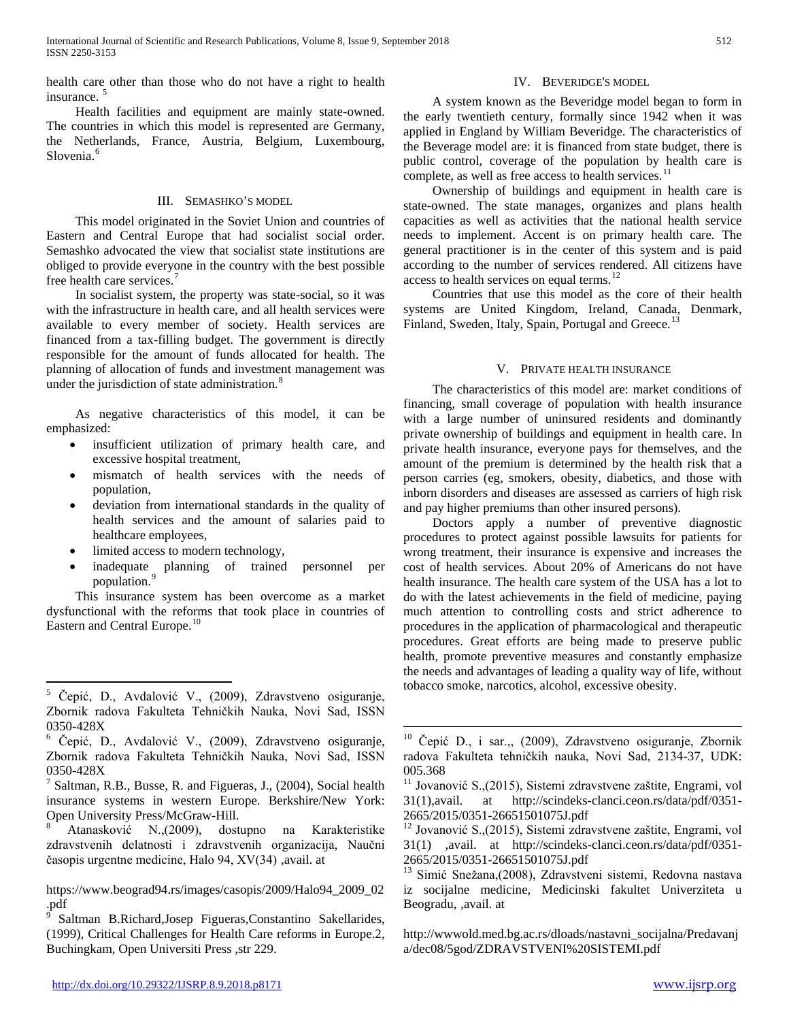health care other than those who do not have a right to health insurance.<sup>[5](#page-0-3)</sup>

 Health facilities and equipment are mainly state-owned. The countries in which this model is represented are Germany, the Netherlands, France, Austria, Belgium, Luxembourg, Slovenia.<sup>[6](#page-1-0)</sup>

#### III. SEMASHKO'S MODEL

 This model originated in the Soviet Union and countries of Eastern and Central Europe that had socialist social order. Semashko advocated the view that socialist state institutions are obliged to provide everyone in the country with the best possible free health care services.[7](#page-1-1)

 In socialist system, the property was state-social, so it was with the infrastructure in health care, and all health services were available to every member of society. Health services are financed from a tax-filling budget. The government is directly responsible for the amount of funds allocated for health. The planning of allocation of funds and investment management was under the jurisdiction of state administration.<sup>[8](#page-1-2)</sup>

 As negative characteristics of this model, it can be emphasized:

- insufficient utilization of primary health care, and excessive hospital treatment,
- mismatch of health services with the needs of population,
- deviation from international standards in the quality of health services and the amount of salaries paid to healthcare employees,
- limited access to modern technology,
- inadequate planning of trained personnel per population. [9](#page-1-3)

 This insurance system has been overcome as a market dysfunctional with the reforms that took place in countries of Eastern and Central Europe.<sup>[10](#page-1-0)</sup>

## IV. BEVERIDGE'S MODEL

 A system known as the Beveridge model began to form in the early twentieth century, formally since 1942 when it was applied in England by William Beveridge. The characteristics of the Beverage model are: it is financed from state budget, there is public control, coverage of the population by health care is complete, as well as free access to health services. $11$ 

 Ownership of buildings and equipment in health care is state-owned. The state manages, organizes and plans health capacities as well as activities that the national health service needs to implement. Accent is on primary health care. The general practitioner is in the center of this system and is paid according to the number of services rendered. All citizens have access to health services on equal terms. $12$ 

 Countries that use this model as the core of their health systems are United Kingdom, Ireland, Canada, Denmark, Finland, Sweden, Italy, Spain, Portugal and Greece.<sup>[13](#page-1-4)</sup>

### V. PRIVATE HEALTH INSURANCE

 The characteristics of this model are: market conditions of financing, small coverage of population with health insurance with a large number of uninsured residents and dominantly private ownership of buildings and equipment in health care. In private health insurance, everyone pays for themselves, and the amount of the premium is determined by the health risk that a person carries (eg, smokers, obesity, diabetics, and those with inborn disorders and diseases are assessed as carriers of high risk and pay higher premiums than other insured persons).

 Doctors apply a number of preventive diagnostic procedures to protect against possible lawsuits for patients for wrong treatment, their insurance is expensive and increases the cost of health services. About 20% of Americans do not have health insurance. The health care system of the USA has a lot to do with the latest achievements in the field of medicine, paying much attention to controlling costs and strict adherence to procedures in the application of pharmacological and therapeutic procedures. Great efforts are being made to preserve public health, promote preventive measures and constantly emphasize the needs and advantages of leading a quality way of life, without tobacco smoke, narcotics, alcohol, excessive obesity.

 <sup>5</sup> Čepić, D., Avdalović V., (2009), Zdravstveno osiguranje, Zbornik radova Fakulteta Tehničkih Nauka, Novi Sad, ISSN 0350-428X<br><sup>6</sup> Čepić, D., Avdalović V., (2009), Zdravstveno osiguranje,

<span id="page-1-0"></span>Zbornik radova Fakulteta Tehničkih Nauka, Novi Sad, ISSN

<span id="page-1-5"></span><span id="page-1-1"></span><sup>0350-428</sup>X<br> $^7$  Saltman, R.B., Busse, R. and Figueras, J., (2004), Social health insurance systems in western Europe. Berkshire/New York: Open University Press/McGraw-Hill. <sup>8</sup> Atanasković N.,(2009), dostupno na Karakteristike

<span id="page-1-2"></span>zdravstvenih delatnosti i zdravstvenih organizacija, Naučni časopis urgentne medicine, Halo 94, XV(34) ,avail. at

<span id="page-1-4"></span>https://www.beograd94.rs/images/casopis/2009/Halo94\_2009\_02 .pdf

<span id="page-1-3"></span>Saltman B.Richard,Josep Figueras,Constantino Sakellarides, (1999), Critical Challenges for Health Care reforms in Europe.2, Buchingkam, Open Universiti Press ,str 229.

 $10$  Čepić D., i sar.,, (2009), Zdravstveno osiguranje, Zbornik radova Fakulteta tehničkih nauka, Novi Sad, 2134-37, UDK: 005.368

<sup>&</sup>lt;sup>11</sup> Jovanović S.,(2015), Sistemi zdravstvene zaštite, Engrami, vol 31(1),avail. at http://scindeks-clanci.ceon.rs/data/pdf/0351- 2665/2015/0351-26651501075J.pdf <sup>12</sup> Jovanović S.,(2015), Sistemi zdravstvene zaštite, Engrami, vol

<sup>31(1)</sup> ,avail. at http://scindeks-clanci.ceon.rs/data/pdf/0351- 2665/2015/0351-26651501075J.pdf <sup>13</sup> Simić Snežana,(2008), Zdravstveni sistemi, Redovna nastava

iz socijalne medicine, Medicinski fakultet Univerziteta u Beogradu, ,avail. at

http://wwwold.med.bg.ac.rs/dloads/nastavni\_socijalna/Predavanj a/dec08/5god/ZDRAVSTVENI%20SISTEMI.pdf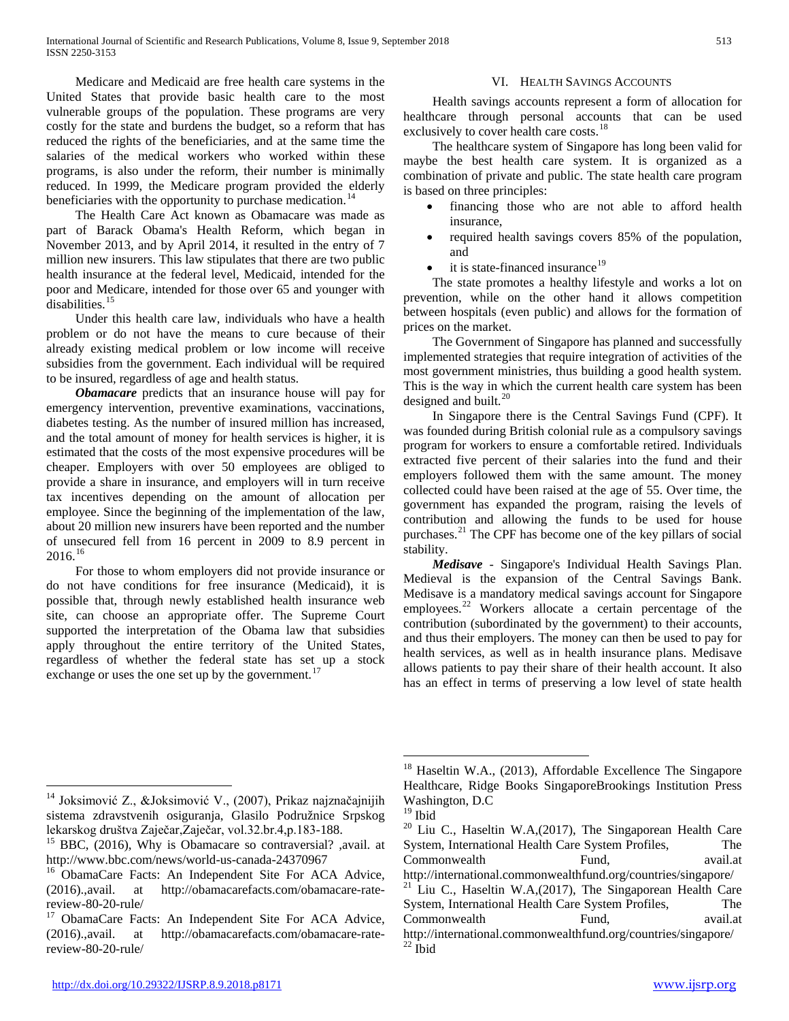Medicare and Medicaid are free health care systems in the United States that provide basic health care to the most vulnerable groups of the population. These programs are very costly for the state and burdens the budget, so a reform that has reduced the rights of the beneficiaries, and at the same time the salaries of the medical workers who worked within these programs, is also under the reform, their number is minimally reduced. In 1999, the Medicare program provided the elderly beneficiaries with the opportunity to purchase medication.<sup>[14](#page-1-5)</sup>

 The Health Care Act known as Obamacare was made as part of Barack Obama's Health Reform, which began in November 2013, and by April 2014, it resulted in the entry of 7 million new insurers. This law stipulates that there are two public health insurance at the federal level, Medicaid, intended for the poor and Medicare, intended for those over 65 and younger with disabilities.<sup>[15](#page-2-0)</sup>

 Under this health care law, individuals who have a health problem or do not have the means to cure because of their already existing medical problem or low income will receive subsidies from the government. Each individual will be required to be insured, regardless of age and health status.

 *Obamacare* predicts that an insurance house will pay for emergency intervention, preventive examinations, vaccinations, diabetes testing. As the number of insured million has increased, and the total amount of money for health services is higher, it is estimated that the costs of the most expensive procedures will be cheaper. Employers with over 50 employees are obliged to provide a share in insurance, and employers will in turn receive tax incentives depending on the amount of allocation per employee. Since the beginning of the implementation of the law, about 20 million new insurers have been reported and the number of unsecured fell from 16 percent in 2009 to 8.9 percent in  $2016.<sup>16</sup>$  $2016.<sup>16</sup>$  $2016.<sup>16</sup>$ 

 For those to whom employers did not provide insurance or do not have conditions for free insurance (Medicaid), it is possible that, through newly established health insurance web site, can choose an appropriate offer. The Supreme Court supported the interpretation of the Obama law that subsidies apply throughout the entire territory of the United States, regardless of whether the federal state has set up a stock exchange or uses the one set up by the government.<sup>[17](#page-2-2)</sup>

## VI. HEALTH SAVINGS ACCOUNTS

 Health savings accounts represent a form of allocation for healthcare through personal accounts that can be used exclusively to cover health care costs.<sup>[18](#page-2-3)</sup>

 The healthcare system of Singapore has long been valid for maybe the best health care system. It is organized as a combination of private and public. The state health care program is based on three principles:

- financing those who are not able to afford health insurance,
- required health savings covers 85% of the population, and
- it is state-financed insurance<sup>[19](#page-2-4)</sup>

 The state promotes a healthy lifestyle and works a lot on prevention, while on the other hand it allows competition between hospitals (even public) and allows for the formation of prices on the market.

 The Government of Singapore has planned and successfully implemented strategies that require integration of activities of the most government ministries, thus building a good health system. This is the way in which the current health care system has been designed and built.<sup>[20](#page-2-5)</sup>

 In Singapore there is the Central Savings Fund (CPF). It was founded during British colonial rule as a compulsory savings program for workers to ensure a comfortable retired. Individuals extracted five percent of their salaries into the fund and their employers followed them with the same amount. The money collected could have been raised at the age of 55. Over time, the government has expanded the program, raising the levels of contribution and allowing the funds to be used for house purchases.[21](#page-2-6) The CPF has become one of the key pillars of social stability.

 *Medisave* - Singapore's Individual Health Savings Plan. Medieval is the expansion of the Central Savings Bank. Medisave is a mandatory medical savings account for Singapore employees.<sup>[22](#page-2-7)</sup> Workers allocate a certain percentage of the contribution (subordinated by the government) to their accounts, and thus their employers. The money can then be used to pay for health services, as well as in health insurance plans. Medisave allows patients to pay their share of their health account. It also has an effect in terms of preserving a low level of state health

<span id="page-2-8"></span><span id="page-2-3"></span><sup>&</sup>lt;sup>14</sup> Joksimović Z., &Joksimović V., (2007), Prikaz najznačajnijih sistema zdravstvenih osiguranja, Glasilo Podružnice Srpskog

<span id="page-2-5"></span><span id="page-2-4"></span><span id="page-2-0"></span>lekarskog društva Zaječar, Zaječar, vol.32.br.4,p.183-188.<br><sup>15</sup> BBC, (2016), Why is Obamacare so contraversial? ,avail. at http://www.bbc.com/news/world-us-canada-24370967

<span id="page-2-6"></span><span id="page-2-1"></span><sup>&</sup>lt;sup>16</sup> ObamaCare Facts: An Independent Site For ACA Advice, (2016).,avail. at http://obamacarefacts.com/obamacare-rate-

<span id="page-2-7"></span><span id="page-2-2"></span>review-80-20-rule/ <sup>17</sup> ObamaCare Facts: An Independent Site For ACA Advice, (2016).,avail. at http://obamacarefacts.com/obamacare-ratereview-80-20-rule/

Haseltin W.A., (2013), Affordable Excellence The Singapore Healthcare, Ridge Books SingaporeBrookings Institution Press Washington, D.C 19 Ibid

 $20$  Liu C., Haseltin W.A,(2017), The Singaporean Health Care System, International Health Care System Profiles, The Commonwealth Fund, avail.at http://international.commonwealthfund.org/countries/singapore/  $21$  Liu C., Haseltin W.A,(2017), The Singaporean Health Care System, International Health Care System Profiles, The Commonwealth Fund, avail.at http://international.commonwealthfund.org/countries/singapore/  $^{22}$  Ibid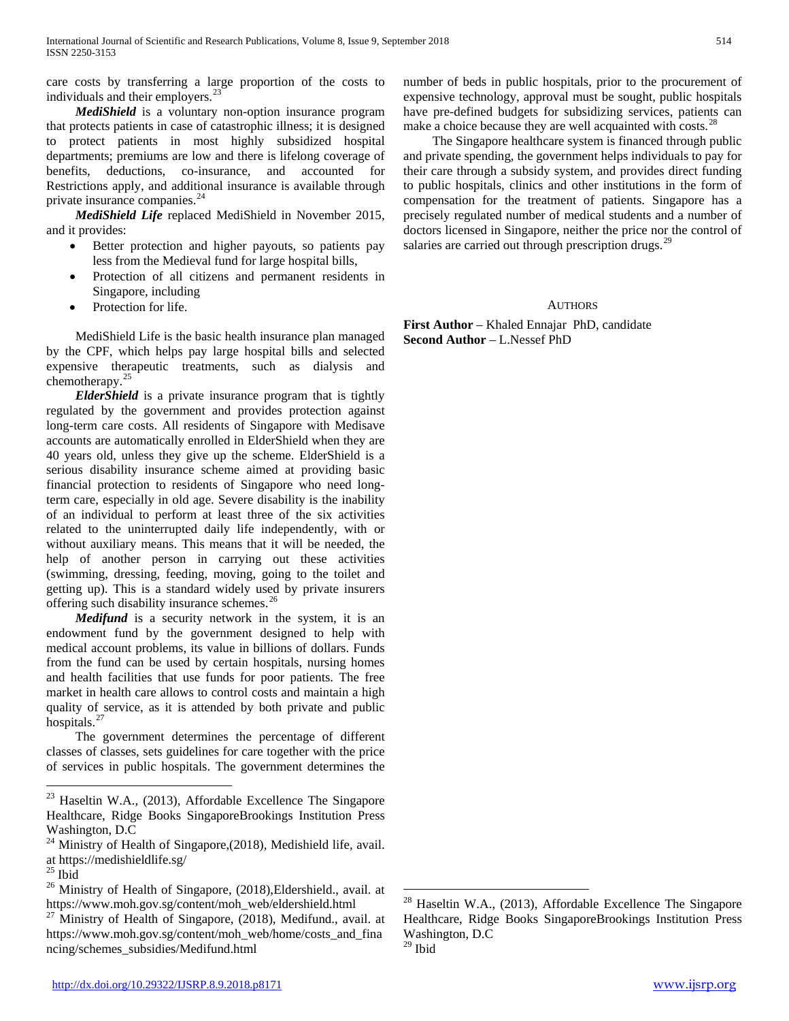care costs by transferring a large proportion of the costs to individuals and their employers.<sup>2</sup>

 *MediShield* is a voluntary non-option insurance program that protects patients in case of catastrophic illness; it is designed to protect patients in most highly subsidized hospital departments; premiums are low and there is lifelong coverage of benefits, deductions, co-insurance, and accounted for Restrictions apply, and additional insurance is available through private insurance companies.<sup>[24](#page-3-0)</sup>

 *MediShield Life* replaced MediShield in November 2015, and it provides:

- Better protection and higher payouts, so patients pay less from the Medieval fund for large hospital bills,
- Protection of all citizens and permanent residents in Singapore, including
- Protection for life.

 MediShield Life is the basic health insurance plan managed by the CPF, which helps pay large hospital bills and selected expensive therapeutic treatments, such as dialysis and chemotherapy. [25](#page-3-1)

 *ElderShield* is a private insurance program that is tightly regulated by the government and provides protection against long-term care costs. All residents of Singapore with Medisave accounts are automatically enrolled in ElderShield when they are 40 years old, unless they give up the scheme. ElderShield is a serious disability insurance scheme aimed at providing basic financial protection to residents of Singapore who need longterm care, especially in old age. Severe disability is the inability of an individual to perform at least three of the six activities related to the uninterrupted daily life independently, with or without auxiliary means. This means that it will be needed, the help of another person in carrying out these activities (swimming, dressing, feeding, moving, going to the toilet and getting up). This is a standard widely used by private insurers offering such disability insurance schemes.<sup>[26](#page-3-2)</sup>

 *Medifund* is a security network in the system, it is an endowment fund by the government designed to help with medical account problems, its value in billions of dollars. Funds from the fund can be used by certain hospitals, nursing homes and health facilities that use funds for poor patients. The free market in health care allows to control costs and maintain a high quality of service, as it is attended by both private and public hospitals.<sup>[27](#page-3-3)</sup>

 The government determines the percentage of different classes of classes, sets guidelines for care together with the price of services in public hospitals. The government determines the

 The Singapore healthcare system is financed through public and private spending, the government helps individuals to pay for their care through a subsidy system, and provides direct funding to public hospitals, clinics and other institutions in the form of compensation for the treatment of patients. Singapore has a precisely regulated number of medical students and a number of doctors licensed in Singapore, neither the price nor the control of salaries are carried out through prescription drugs.<sup>[29](#page-3-5)</sup>

# AUTHORS

**First Author** – Khaled Ennajar PhD, candidate **Second Author** – L.Nessef PhD

<sup>&</sup>lt;sup>23</sup> Haseltin W.A., (2013), Affordable Excellence The Singapore Healthcare, Ridge Books SingaporeBrookings Institution Press Washington, D.C

<span id="page-3-0"></span><sup>&</sup>lt;sup>24</sup> Ministry of Health of Singapore,(2018), Medishield life, avail.<br>at https://medishieldlife.sg/

<span id="page-3-2"></span><span id="page-3-1"></span><sup>&</sup>lt;sup>25</sup> Ibid<br><sup>26</sup> Ministry of Health of Singapore, (2018),Eldershield., avail. at<br>https://www.moh.gov.sg/content/moh\_web/eldershield.html

<span id="page-3-5"></span><span id="page-3-4"></span><span id="page-3-3"></span> $127$  Ministry of Health of Singapore, (2018), Medifund., avail. at https://www.moh.gov.sg/content/moh\_web/home/costs\_and\_fina ncing/schemes\_subsidies/Medifund.html

 $28$  Haseltin W.A., (2013), Affordable Excellence The Singapore Healthcare, Ridge Books SingaporeBrookings Institution Press Washington, D.C  $29$  Ibid